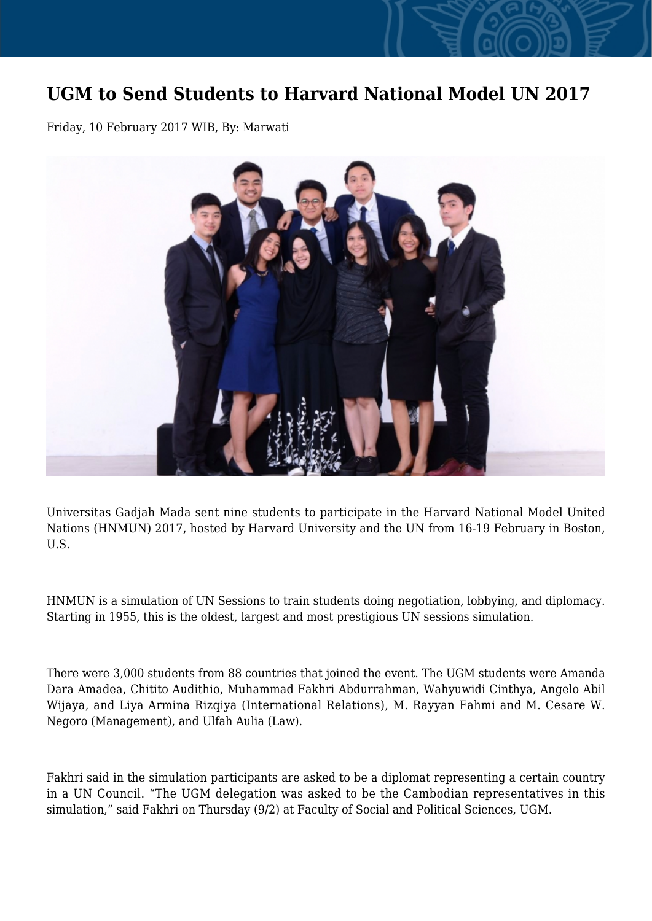## **UGM to Send Students to Harvard National Model UN 2017**

Friday, 10 February 2017 WIB, By: Marwati



Universitas Gadjah Mada sent nine students to participate in the Harvard National Model United Nations (HNMUN) 2017, hosted by Harvard University and the UN from 16-19 February in Boston, U.S.

HNMUN is a simulation of UN Sessions to train students doing negotiation, lobbying, and diplomacy. Starting in 1955, this is the oldest, largest and most prestigious UN sessions simulation.

There were 3,000 students from 88 countries that joined the event. The UGM students were Amanda Dara Amadea, Chitito Audithio, Muhammad Fakhri Abdurrahman, Wahyuwidi Cinthya, Angelo Abil Wijaya, and Liya Armina Rizqiya (International Relations), M. Rayyan Fahmi and M. Cesare W. Negoro (Management), and Ulfah Aulia (Law).

Fakhri said in the simulation participants are asked to be a diplomat representing a certain country in a UN Council. "The UGM delegation was asked to be the Cambodian representatives in this simulation," said Fakhri on Thursday (9/2) at Faculty of Social and Political Sciences, UGM.